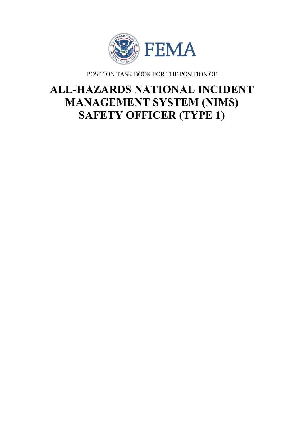

POSITION TASK BOOK FOR THE POSITION OF

# **ALL-HAZARDS NATIONAL INCIDENT MANAGEMENT SYSTEM (NIMS) SAFETY OFFICER (TYPE 1)**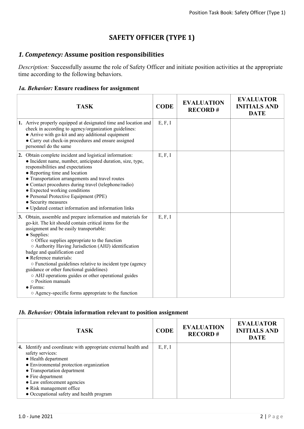# **SAFETY OFFICER (TYPE 1)**

## *1. Competency:* **Assume position responsibilities**

*Description:* Successfully assume the role of Safety Officer and initiate position activities at the appropriate time according to the following behaviors.

## *1a. Behavior:* **Ensure readiness for assignment**

| <b>TASK</b>                                                                                                                                                                                                                                                                                                                                                                                                                                                                                                                                                                                                                | <b>CODE</b> | <b>EVALUATION</b><br><b>RECORD#</b> | <b>EVALUATOR</b><br><b>INITIALS AND</b><br><b>DATE</b> |
|----------------------------------------------------------------------------------------------------------------------------------------------------------------------------------------------------------------------------------------------------------------------------------------------------------------------------------------------------------------------------------------------------------------------------------------------------------------------------------------------------------------------------------------------------------------------------------------------------------------------------|-------------|-------------------------------------|--------------------------------------------------------|
| 1. Arrive properly equipped at designated time and location and<br>check in according to agency/organization guidelines:<br>• Arrive with go-kit and any additional equipment<br>• Carry out check-in procedures and ensure assigned<br>personnel do the same                                                                                                                                                                                                                                                                                                                                                              | E, F, I     |                                     |                                                        |
| 2. Obtain complete incident and logistical information:<br>• Incident name, number, anticipated duration, size, type,<br>responsibilities and expectations<br>• Reporting time and location<br>• Transportation arrangements and travel routes<br>• Contact procedures during travel (telephone/radio)<br>• Expected working conditions<br>• Personal Protective Equipment (PPE)<br>• Security measures<br>$\bullet$ Updated contact information and information links                                                                                                                                                     | E, F, I     |                                     |                                                        |
| 3. Obtain, assemble and prepare information and materials for<br>go-kit. The kit should contain critical items for the<br>assignment and be easily transportable:<br>• Supplies:<br>$\circ$ Office supplies appropriate to the function<br>○ Authority Having Jurisdiction (AHJ) identification<br>badge and qualification card<br>• Reference materials:<br>○ Functional guidelines relative to incident type (agency<br>guidance or other functional guidelines)<br>o AHJ operations guides or other operational guides<br>o Position manuals<br>$\bullet$ Forms:<br>○ Agency-specific forms appropriate to the function | E, F, I     |                                     |                                                        |

### *1b. Behavior:* **Obtain information relevant to position assignment**

| <b>TASK</b>                                                                                                                                                                                                                                                                                                             | <b>CODE</b> | <b>EVALUATION</b><br><b>RECORD#</b> | <b>EVALUATOR</b><br><b>INITIALS AND</b><br><b>DATE</b> |
|-------------------------------------------------------------------------------------------------------------------------------------------------------------------------------------------------------------------------------------------------------------------------------------------------------------------------|-------------|-------------------------------------|--------------------------------------------------------|
| 4. Identify and coordinate with appropriate external health and<br>safety services:<br>• Health department<br>• Environmental protection organization<br>• Transportation department<br>$\bullet$ Fire department<br>• Law enforcement agencies<br>• Risk management office<br>• Occupational safety and health program | E, F, I     |                                     |                                                        |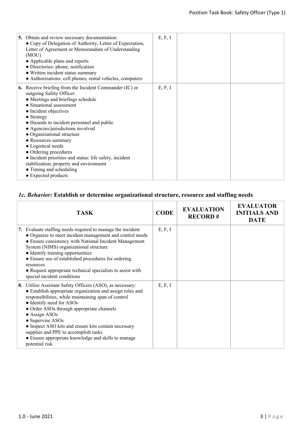| 5. Obtain and review necessary documentation:<br>• Copy of Delegation of Authority, Letter of Expectation,<br>Letter of Agreement or Memorandum of Understanding<br>(MOU)<br>• Applicable plans and reports<br>• Directories: phone, notification<br>• Written incident status summary<br>· Authorizations: cell phones, rental vehicles, computers                                                                                                                                                                                                       | E, F, I |  |
|-----------------------------------------------------------------------------------------------------------------------------------------------------------------------------------------------------------------------------------------------------------------------------------------------------------------------------------------------------------------------------------------------------------------------------------------------------------------------------------------------------------------------------------------------------------|---------|--|
| <b>6.</b> Receive briefing from the Incident Commander (IC) or<br>outgoing Safety Officer:<br>• Meetings and briefings schedule<br>• Situational assessment<br>• Incident objectives<br>$\bullet$ Strategy<br>• Hazards to incident personnel and public<br>• Agencies/jurisdictions involved<br>• Organizational structure<br>• Resources summary<br>• Logistical needs<br>• Ordering procedures<br>• Incident priorities and status: life safety, incident<br>stabilization, property and environment<br>• Timing and scheduling<br>• Expected products | E, F, I |  |

## *1c. Behavior:* **Establish or determine organizational structure, resource and staffing needs**

| <b>TASK</b>                                                                                                                                                                                                                                                                                                                                                                                                                                                                  | <b>CODE</b> | <b>EVALUATION</b><br><b>RECORD#</b> | <b>EVALUATOR</b><br><b>INITIALS AND</b><br><b>DATE</b> |
|------------------------------------------------------------------------------------------------------------------------------------------------------------------------------------------------------------------------------------------------------------------------------------------------------------------------------------------------------------------------------------------------------------------------------------------------------------------------------|-------------|-------------------------------------|--------------------------------------------------------|
| 7. Evaluate staffing needs required to manage the incident:<br>• Organize to meet incident management and control needs<br>• Ensure consistency with National Incident Management<br>System (NIMS) organizational structure<br>• Identify training opportunities<br>• Ensure use of established procedures for ordering<br>resources<br>• Request appropriate technical specialists to assist with<br>special incident conditions                                            | E, F, I     |                                     |                                                        |
| 8. Utilize Assistant Safety Officers (ASO), as necessary:<br>• Establish appropriate organization and assign roles and<br>responsibilities, while maintaining span of control<br>• Identify need for ASOs<br>• Order ASOs through appropriate channels<br>$\bullet$ Assign ASOs<br>• Supervise ASOs<br>• Inspect ASO kits and ensure kits contain necessary<br>supplies and PPE to accomplish tasks<br>• Ensure appropriate knowledge and skills to manage<br>potential risk | E, F, I     |                                     |                                                        |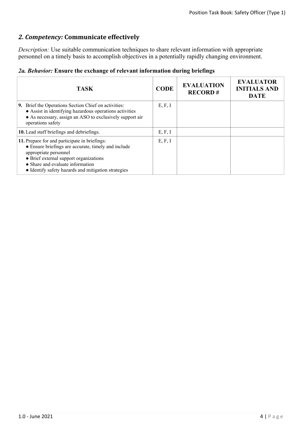## *2. Competency:* **Communicate effectively**

*Description:* Use suitable communication techniques to share relevant information with appropriate personnel on a timely basis to accomplish objectives in a potentially rapidly changing environment.

|  |  |  |  | 2a. Behavior: Ensure the exchange of relevant information during briefings |  |  |  |  |
|--|--|--|--|----------------------------------------------------------------------------|--|--|--|--|
|--|--|--|--|----------------------------------------------------------------------------|--|--|--|--|

| <b>TASK</b>                                                                                                                                                                                                                                                        | <b>CODE</b> | <b>EVALUATION</b><br><b>RECORD#</b> | <b>EVALUATOR</b><br><b>INITIALS AND</b><br><b>DATE</b> |
|--------------------------------------------------------------------------------------------------------------------------------------------------------------------------------------------------------------------------------------------------------------------|-------------|-------------------------------------|--------------------------------------------------------|
| <b>9.</b> Brief the Operations Section Chief on activities:<br>• Assist in identifying hazardous operations activities<br>• As necessary, assign an ASO to exclusively support air<br>operations safety                                                            | E, F, I     |                                     |                                                        |
| 10. Lead staff briefings and debriefings.                                                                                                                                                                                                                          | E, F, I     |                                     |                                                        |
| 11. Prepare for and participate in briefings:<br>• Ensure briefings are accurate, timely and include<br>appropriate personnel<br>• Brief external support organizations<br>• Share and evaluate information<br>• Identify safety hazards and mitigation strategies | E, F, I     |                                     |                                                        |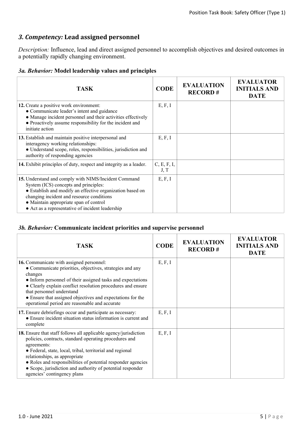## *3. Competency:* **Lead assigned personnel**

*Description:* Influence, lead and direct assigned personnel to accomplish objectives and desired outcomes in a potentially rapidly changing environment.

## *3a. Behavior:* **Model leadership values and principles**

| <b>TASK</b>                                                                                                                                                                                                                                                                                           | <b>CODE</b>         | <b>EVALUATION</b><br><b>RECORD#</b> | <b>EVALUATOR</b><br><b>INITIALS AND</b><br><b>DATE</b> |
|-------------------------------------------------------------------------------------------------------------------------------------------------------------------------------------------------------------------------------------------------------------------------------------------------------|---------------------|-------------------------------------|--------------------------------------------------------|
| 12. Create a positive work environment:<br>• Communicate leader's intent and guidance<br>• Manage incident personnel and their activities effectively<br>• Proactively assume responsibility for the incident and<br>initiate action                                                                  | E, F, I             |                                     |                                                        |
| 13. Establish and maintain positive interpersonal and<br>interagency working relationships:<br>· Understand scope, roles, responsibilities, jurisdiction and<br>authority of responding agencies                                                                                                      | E, F, I             |                                     |                                                        |
| 14. Exhibit principles of duty, respect and integrity as a leader.                                                                                                                                                                                                                                    | C, E, F, I,<br>J, T |                                     |                                                        |
| 15. Understand and comply with NIMS/Incident Command<br>System (ICS) concepts and principles:<br>• Establish and modify an effective organization based on<br>changing incident and resource conditions<br>• Maintain appropriate span of control<br>• Act as a representative of incident leadership | E, F, I             |                                     |                                                        |

### *3b. Behavior:* **Communicate incident priorities and supervise personnel**

| <b>TASK</b>                                                                                                                                                                                                                                                                                                                                                                                                 | <b>CODE</b> | <b>EVALUATION</b><br><b>RECORD#</b> | <b>EVALUATOR</b><br><b>INITIALS AND</b><br><b>DATE</b> |
|-------------------------------------------------------------------------------------------------------------------------------------------------------------------------------------------------------------------------------------------------------------------------------------------------------------------------------------------------------------------------------------------------------------|-------------|-------------------------------------|--------------------------------------------------------|
| <b>16.</b> Communicate with assigned personnel:<br>• Communicate priorities, objectives, strategies and any<br>changes<br>• Inform personnel of their assigned tasks and expectations<br>• Clearly explain conflict resolution procedures and ensure<br>that personnel understand<br>• Ensure that assigned objectives and expectations for the<br>operational period are reasonable and accurate           | E, F, I     |                                     |                                                        |
| 17. Ensure debriefings occur and participate as necessary:<br>• Ensure incident situation status information is current and<br>complete                                                                                                                                                                                                                                                                     | E, F, I     |                                     |                                                        |
| <b>18.</b> Ensure that staff follows all applicable agency/jurisdiction<br>policies, contracts, standard operating procedures and<br>agreements:<br>• Federal, state, local, tribal, territorial and regional<br>relationships, as appropriate<br>• Roles and responsibilities of potential responder agencies<br>• Scope, jurisdiction and authority of potential responder<br>agencies' contingency plans | E, F, I     |                                     |                                                        |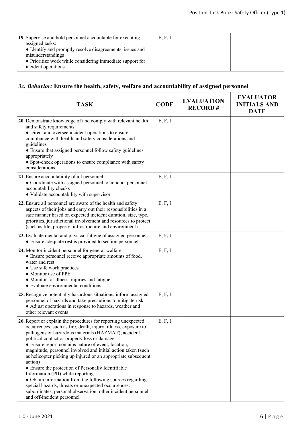| 19. Supervise and hold personnel accountable for executing<br>assigned tasks:<br>• Identify and promptly resolve disagreements, issues and<br>misunderstandings<br>• Prioritize work while considering immediate support for<br>incident operations | E, F, I |  |
|-----------------------------------------------------------------------------------------------------------------------------------------------------------------------------------------------------------------------------------------------------|---------|--|
|                                                                                                                                                                                                                                                     |         |  |

## *3c. Behavior:* **Ensure the health, safety, welfare and accountability of assigned personnel**

| <b>TASK</b>                                                                                                                                                                                                                                                                                                                                                                                                                                                                                                                                                                                                                                                                                                                                              | <b>CODE</b> | <b>EVALUATION</b><br><b>RECORD#</b> | <b>EVALUATOR</b><br><b>INITIALS AND</b><br><b>DATE</b> |
|----------------------------------------------------------------------------------------------------------------------------------------------------------------------------------------------------------------------------------------------------------------------------------------------------------------------------------------------------------------------------------------------------------------------------------------------------------------------------------------------------------------------------------------------------------------------------------------------------------------------------------------------------------------------------------------------------------------------------------------------------------|-------------|-------------------------------------|--------------------------------------------------------|
| 20. Demonstrate knowledge of and comply with relevant health<br>and safety requirements:<br>• Direct and oversee incident operations to ensure<br>compliance with health and safety considerations and<br>guidelines<br>• Ensure that assigned personnel follow safety guidelines<br>appropriately<br>• Spot-check operations to ensure compliance with safety<br>considerations                                                                                                                                                                                                                                                                                                                                                                         | E, F, I     |                                     |                                                        |
| 21. Ensure accountability of all personnel:<br>• Coordinate with assigned personnel to conduct personnel<br>accountability checks<br>• Validate accountability with supervisor                                                                                                                                                                                                                                                                                                                                                                                                                                                                                                                                                                           | E, F, I     |                                     |                                                        |
| 22. Ensure all personnel are aware of the health and safety<br>aspects of their jobs and carry out their responsibilities in a<br>safe manner based on expected incident duration, size, type,<br>priorities, jurisdictional involvement and resources to protect<br>(such as life, property, infrastructure and environment).                                                                                                                                                                                                                                                                                                                                                                                                                           | E, F, I     |                                     |                                                        |
| 23. Evaluate mental and physical fatigue of assigned personnel:<br>• Ensure adequate rest is provided to section personnel                                                                                                                                                                                                                                                                                                                                                                                                                                                                                                                                                                                                                               | E, F, I     |                                     |                                                        |
| 24. Monitor incident personnel for general welfare:<br>• Ensure personnel receive appropriate amounts of food,<br>water and rest<br>• Use safe work practices<br>• Monitor use of PPE<br>• Monitor for illness, injuries and fatigue<br>• Evaluate environmental conditions                                                                                                                                                                                                                                                                                                                                                                                                                                                                              | E, F, I     |                                     |                                                        |
| 25. Recognize potentially hazardous situations, inform assigned<br>personnel of hazards and take precautions to mitigate risk:<br>• Adjust operations in response to hazards, weather and<br>other relevant events                                                                                                                                                                                                                                                                                                                                                                                                                                                                                                                                       | E, F, I     |                                     |                                                        |
| 26. Report or explain the procedures for reporting unexpected<br>occurrences, such as fire, death, injury, illness, exposure to<br>pathogens or hazardous materials (HAZMAT), accident,<br>political contact or property loss or damage:<br>• Ensure report contains nature of event, location,<br>magnitude, personnel involved and initial action taken (such<br>as helicopter picking up injured or an appropriate subsequent<br>action)<br>• Ensure the protection of Personally Identifiable<br>Information (PII) while reporting<br>• Obtain information from the following sources regarding<br>special hazards, threats or unexpected occurrences:<br>subordinates, personal observation, other incident personnel<br>and off-incident personnel | E, F, I     |                                     |                                                        |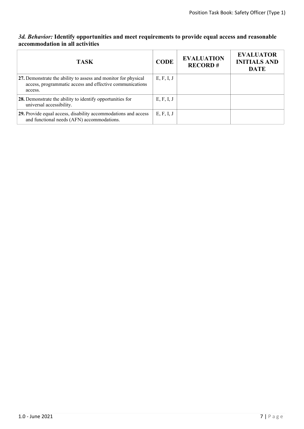#### *3d. Behavior:* **Identify opportunities and meet requirements to provide equal access and reasonable accommodation in all activities**

| <b>TASK</b>                                                                                                                           | <b>CODE</b> | <b>EVALUATION</b><br><b>RECORD#</b> | <b>EVALUATOR</b><br><b>INITIALS AND</b><br><b>DATE</b> |
|---------------------------------------------------------------------------------------------------------------------------------------|-------------|-------------------------------------|--------------------------------------------------------|
| 27. Demonstrate the ability to assess and monitor for physical<br>access, programmatic access and effective communications<br>access. | E, F, I, J  |                                     |                                                        |
| 28. Demonstrate the ability to identify opportunities for<br>universal accessibility.                                                 | E, F, I, J  |                                     |                                                        |
| 29. Provide equal access, disability accommodations and access<br>and functional needs (AFN) accommodations.                          | E, F, I, J  |                                     |                                                        |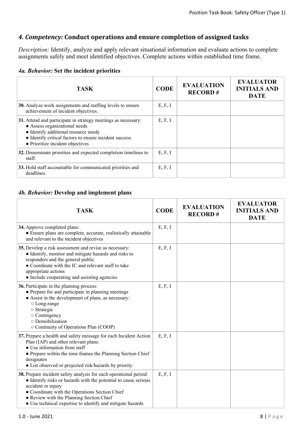## *4. Competency:* **Conduct operations and ensure completion of assigned tasks**

*Description:* Identify, analyze and apply relevant situational information and evaluate actions to complete assignments safely and meet identified objectives. Complete actions within established time frame.

|  | 4a. Behavior: Set the incident priorities |  |  |  |
|--|-------------------------------------------|--|--|--|
|--|-------------------------------------------|--|--|--|

| <b>TASK</b>                                                                                                                                                                                                                          | <b>CODE</b> | <b>EVALUATION</b><br><b>RECORD#</b> | <b>EVALUATOR</b><br><b>INITIALS AND</b><br><b>DATE</b> |
|--------------------------------------------------------------------------------------------------------------------------------------------------------------------------------------------------------------------------------------|-------------|-------------------------------------|--------------------------------------------------------|
| 30. Analyze work assignments and staffing levels to ensure<br>achievement of incident objectives.                                                                                                                                    | E, F, I     |                                     |                                                        |
| 31. Attend and participate in strategy meetings as necessary:<br>• Assess organizational needs<br>• Identify additional resource needs<br>• Identify critical factors to ensure incident success<br>• Prioritize incident objectives | E, F, I     |                                     |                                                        |
| 32. Disseminate priorities and expected completion timelines to<br>staff.                                                                                                                                                            | E, F, I     |                                     |                                                        |
| 33. Hold staff accountable for communicated priorities and<br>deadlines.                                                                                                                                                             | E, F, I     |                                     |                                                        |

### *4b. Behavior:* **Develop and implement plans**

| <b>TASK</b>                                                                                                                                                                                                                                                                                                            | <b>CODE</b> | <b>EVALUATION</b><br><b>RECORD#</b> | <b>EVALUATOR</b><br><b>INITIALS AND</b><br><b>DATE</b> |
|------------------------------------------------------------------------------------------------------------------------------------------------------------------------------------------------------------------------------------------------------------------------------------------------------------------------|-------------|-------------------------------------|--------------------------------------------------------|
| 34. Approve completed plans:<br>• Ensure plans are complete, accurate, realistically attainable<br>and relevant to the incident objectives                                                                                                                                                                             | E, F, I     |                                     |                                                        |
| 35. Develop a risk assessment and revise as necessary:<br>• Identify, monitor and mitigate hazards and risks to<br>responders and the general public<br>• Coordinate with the IC and relevant staff to take<br>appropriate actions<br>• Include cooperating and assisting agencies                                     | E, F, I     |                                     |                                                        |
| 36. Participate in the planning process:<br>• Prepare for and participate in planning meetings<br>• Assist in the development of plans, as necessary:<br>○ Long-range<br>o Strategic<br>o Contingency<br>o Demobilization<br>○ Continuity of Operations Plan (COOP)                                                    | E, F, I     |                                     |                                                        |
| 37. Prepare a health and safety message for each Incident Action<br>Plan (IAP) and other relevant plans:<br>• Use information from staff<br>• Prepare within the time frames the Planning Section Chief<br>designates<br>• List observed or projected risk/hazards by priority                                         | E, F, I     |                                     |                                                        |
| 38. Prepare incident safety analysis for each operational period:<br>• Identify risks or hazards with the potential to cause serious<br>accident or injury<br>• Coordinate with the Operations Section Chief<br>• Review with the Planning Section Chief<br>• Use technical expertise to identify and mitigate hazards | E, F, I     |                                     |                                                        |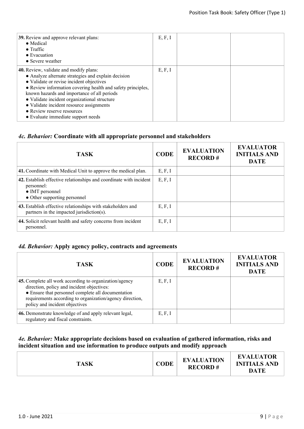| <b>39.</b> Review and approve relevant plans:<br>$\bullet$ Medical<br>$\bullet$ Traffic<br>$\bullet$ Evacuation<br>• Severe weather                                                                                                                                                                                                                                                                                     | E, F, I |  |
|-------------------------------------------------------------------------------------------------------------------------------------------------------------------------------------------------------------------------------------------------------------------------------------------------------------------------------------------------------------------------------------------------------------------------|---------|--|
| 40. Review, validate and modify plans:<br>• Analyze alternate strategies and explain decision<br>• Validate or revise incident objectives<br>• Review information covering health and safety principles,<br>known hazards and importance of all periods<br>• Validate incident organizational structure<br>• Validate incident resource assignments<br>• Review reserve resources<br>• Evaluate immediate support needs | E, F, I |  |

#### *4c. Behavior:* **Coordinate with all appropriate personnel and stakeholders**

| <b>TASK</b>                                                                                                                         | <b>CODE</b> | <b>EVALUATION</b><br><b>RECORD#</b> | <b>EVALUATOR</b><br><b>INITIALS AND</b><br><b>DATE</b> |
|-------------------------------------------------------------------------------------------------------------------------------------|-------------|-------------------------------------|--------------------------------------------------------|
| 41. Coordinate with Medical Unit to approve the medical plan.                                                                       | E, F, I     |                                     |                                                        |
| 42. Establish effective relationships and coordinate with incident<br>personnel:<br>• IMT personnel<br>• Other supporting personnel | E, F, I     |                                     |                                                        |
| 43. Establish effective relationships with stakeholders and<br>partners in the impacted jurisdiction(s).                            | E, F, I     |                                     |                                                        |
| 44. Solicit relevant health and safety concerns from incident<br>personnel.                                                         | E, F, I     |                                     |                                                        |

## *4d. Behavior:* **Apply agency policy, contracts and agreements**

| TASK.                                                                                                                                                                                                                                                    | <b>CODE</b> | <b>EVALUATION</b><br><b>RECORD#</b> | <b>EVALUATOR</b><br><b>INITIALS AND</b><br><b>DATE</b> |
|----------------------------------------------------------------------------------------------------------------------------------------------------------------------------------------------------------------------------------------------------------|-------------|-------------------------------------|--------------------------------------------------------|
| 45. Complete all work according to organization/agency<br>direction, policy and incident objectives:<br>• Ensure that personnel complete all documentation<br>requirements according to organization/agency direction,<br>policy and incident objectives | E, F, I     |                                     |                                                        |
| 46. Demonstrate knowledge of and apply relevant legal,<br>regulatory and fiscal constraints.                                                                                                                                                             | E, F, I     |                                     |                                                        |

## *4e. Behavior:* **Make appropriate decisions based on evaluation of gathered information, risks and incident situation and use information to produce outputs and modify approach**

| <b>EVALUATION</b><br><b>CODE</b><br><b>INITIALS AND</b><br><b>TASK</b><br><b>RECORD#</b><br>DATE |
|--------------------------------------------------------------------------------------------------|
|--------------------------------------------------------------------------------------------------|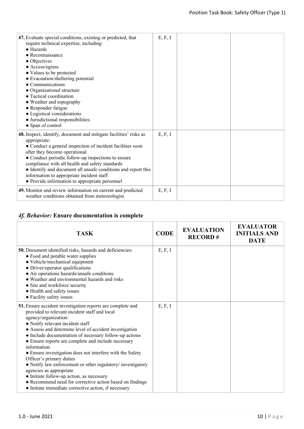| 47. Evaluate special conditions, existing or predicted, that<br>require technical expertise, including:<br>$\bullet$ Hazards<br>$\bullet$ Reconnaissance<br>• Objectives<br>• Access/egress<br>• Values to be protected<br>• Evacuation/sheltering potential<br>• Communications<br>• Organizational structure<br>• Tactical coordination<br>• Weather and topography<br>• Responder fatigue<br>• Logistical considerations<br>• Jurisdictional responsibilities<br>• Span of control | E, F, I |  |
|---------------------------------------------------------------------------------------------------------------------------------------------------------------------------------------------------------------------------------------------------------------------------------------------------------------------------------------------------------------------------------------------------------------------------------------------------------------------------------------|---------|--|
| 48. Inspect, identify, document and mitigate facilities' risks as<br>appropriate:<br>• Conduct a general inspection of incident facilities soon<br>after they become operational<br>• Conduct periodic follow-up inspections to ensure<br>compliance with all health and safety standards<br>• Identify and document all unsafe conditions and report this<br>information to appropriate incident staff<br>• Provide information to appropriate personnel                             | E, F, I |  |
| 49. Monitor and review information on current and predicted<br>weather conditions obtained from meteorologist.                                                                                                                                                                                                                                                                                                                                                                        | E, F, I |  |

## *4f. Behavior:* **Ensure documentation is complete**

| <b>TASK</b>                                                                                                                                                                                                                                                                                                                                                                                                                                                                                                                                                                                                                                                                                                          | <b>CODE</b> | <b>EVALUATION</b><br><b>RECORD#</b> | <b>EVALUATOR</b><br><b>INITIALS AND</b><br><b>DATE</b> |
|----------------------------------------------------------------------------------------------------------------------------------------------------------------------------------------------------------------------------------------------------------------------------------------------------------------------------------------------------------------------------------------------------------------------------------------------------------------------------------------------------------------------------------------------------------------------------------------------------------------------------------------------------------------------------------------------------------------------|-------------|-------------------------------------|--------------------------------------------------------|
| 50. Document identified risks, hazards and deficiencies:<br>• Food and potable water supplies<br>• Vehicle/mechanical equipment<br>• Driver/operator qualifications<br>• Air operations hazards/unsafe conditions<br>• Weather and environmental hazards and risks<br>• Site and workforce security<br>• Health and safety issues<br>• Facility safety issues                                                                                                                                                                                                                                                                                                                                                        | E, F, I     |                                     |                                                        |
| 51. Ensure accident investigation reports are complete and<br>provided to relevant incident staff and local<br>agency/organization:<br>• Notify relevant incident staff<br>• Assess and determine level of accident investigation<br>• Include documentation of necessary follow-up actions<br>• Ensure reports are complete and include necessary<br>information<br>• Ensure investigation does not interfere with the Safety<br>Officer's primary duties<br>• Notify law enforcement or other regulatory/investigatory<br>agencies as appropriate<br>• Initiate follow-up action, as necessary<br>• Recommend need for corrective action based on findings<br>• Initiate immediate corrective action, if necessary | E, F, I     |                                     |                                                        |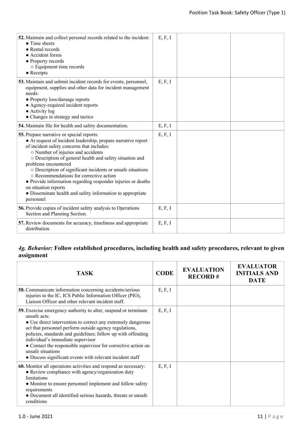| E, F, I |  |
|---------|--|
| E, F, I |  |
| E, F, I |  |
| E, F, I |  |
| E, F, I |  |
| E, F, I |  |
|         |  |

## *4g. Behavior:* **Follow established procedures, including health and safety procedures, relevant to given assignment**

| TASK                                                                                                                                                                                                                                                                                                                                                                                                                                                                     | <b>CODE</b> | <b>EVALUATION</b><br><b>RECORD#</b> | <b>EVALUATOR</b><br><b>INITIALS AND</b><br><b>DATE</b> |
|--------------------------------------------------------------------------------------------------------------------------------------------------------------------------------------------------------------------------------------------------------------------------------------------------------------------------------------------------------------------------------------------------------------------------------------------------------------------------|-------------|-------------------------------------|--------------------------------------------------------|
| <b>58.</b> Communicate information concerning accidents/serious<br>injuries to the IC, ICS Public Information Officer (PIO),<br>Liaison Officer and other relevant incident staff.                                                                                                                                                                                                                                                                                       | E, F, I     |                                     |                                                        |
| <b>59.</b> Exercise emergency authority to alter, suspend or terminate<br>unsafe acts:<br>• Use direct intervention to correct any extremely dangerous<br>act that personnel perform outside agency regulations,<br>policies, standards and guidelines; follow up with offending<br>individual's immediate supervisor<br>• Contact the responsible supervisor for corrective action on<br>unsafe situations<br>• Discuss significant events with relevant incident staff | E, F, I     |                                     |                                                        |
| 60. Monitor all operations activities and respond as necessary:<br>• Review compliance with agency/organization duty<br>limitations<br>• Monitor to ensure personnel implement and follow safety<br>requirements<br>• Document all identified serious hazards, threats or unsafe<br>conditions                                                                                                                                                                           | E, F, I     |                                     |                                                        |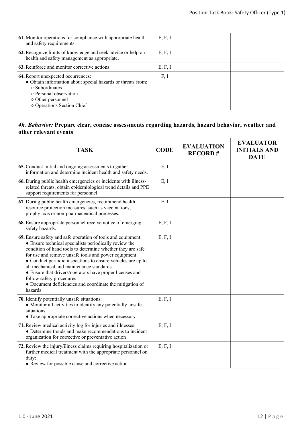| 61. Monitor operations for compliance with appropriate health<br>and safety requirements.                                                                                                                    | E, F, I |  |
|--------------------------------------------------------------------------------------------------------------------------------------------------------------------------------------------------------------|---------|--|
| 62. Recognize limits of knowledge and seek advice or help on<br>health and safety management as appropriate.                                                                                                 | E, F, I |  |
| 63. Reinforce and monitor corrective actions.                                                                                                                                                                | E, F, I |  |
| 64. Report unexpected occurrences:<br>• Obtain information about special hazards or threats from:<br>$\circ$ Subordinates<br>○ Personal observation<br>$\circ$ Other personnel<br>o Operations Section Chief | F, I    |  |

#### *4h. Behavior:* **Prepare clear, concise assessments regarding hazards, hazard behavior, weather and other relevant events**

| <b>TASK</b>                                                                                                                                                                                                                                                                                                                                                                                                                                                                                                           | <b>CODE</b> | <b>EVALUATION</b><br><b>RECORD#</b> | <b>EVALUATOR</b><br><b>INITIALS AND</b><br><b>DATE</b> |
|-----------------------------------------------------------------------------------------------------------------------------------------------------------------------------------------------------------------------------------------------------------------------------------------------------------------------------------------------------------------------------------------------------------------------------------------------------------------------------------------------------------------------|-------------|-------------------------------------|--------------------------------------------------------|
| 65. Conduct initial and ongoing assessments to gather<br>information and determine incident health and safety needs.                                                                                                                                                                                                                                                                                                                                                                                                  | F, I        |                                     |                                                        |
| 66. During public health emergencies or incidents with illness-<br>related threats, obtain epidemiological trend details and PPE<br>support requirements for personnel.                                                                                                                                                                                                                                                                                                                                               | E, I        |                                     |                                                        |
| 67. During public health emergencies, recommend health<br>resource protection measures, such as vaccinations,<br>prophylaxis or non-pharmaceutical processes.                                                                                                                                                                                                                                                                                                                                                         | E, I        |                                     |                                                        |
| 68. Ensure appropriate personnel receive notice of emerging<br>safety hazards.                                                                                                                                                                                                                                                                                                                                                                                                                                        | E, F, I     |                                     |                                                        |
| 69. Ensure safety and safe operation of tools and equipment:<br>• Ensure technical specialists periodically review the<br>condition of hand tools to determine whether they are safe<br>for use and remove unsafe tools and power equipment<br>• Conduct periodic inspections to ensure vehicles are up to<br>all mechanical and maintenance standards<br>• Ensure that drivers/operators have proper licenses and<br>follow safety procedures<br>• Document deficiencies and coordinate the mitigation of<br>hazards | E, F, I     |                                     |                                                        |
| 70. Identify potentially unsafe situations:<br>• Monitor all activities to identify any potentially unsafe<br>situations<br>• Take appropriate corrective actions when necessary                                                                                                                                                                                                                                                                                                                                      | E, F, I     |                                     |                                                        |
| 71. Review medical activity log for injuries and illnesses:<br>• Determine trends and make recommendations to incident<br>organization for corrective or preventative action                                                                                                                                                                                                                                                                                                                                          | E, F, I     |                                     |                                                        |
| 72. Review the injury/illness claims requiring hospitalization or<br>further medical treatment with the appropriate personnel on<br>duty:<br>• Review for possible cause and corrective action                                                                                                                                                                                                                                                                                                                        | E, F, I     |                                     |                                                        |